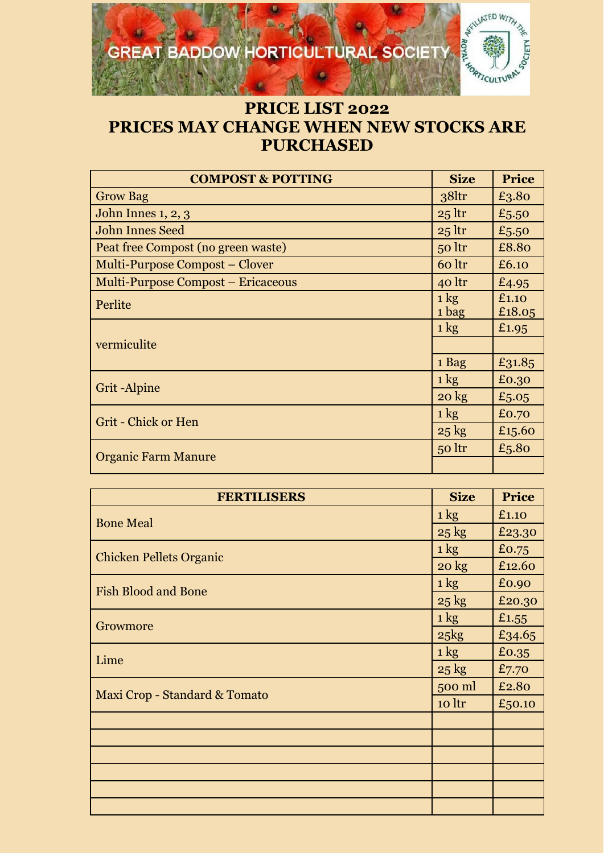## **GREAT BADDOW HORTICULTURAL SOCIETY**



## **PRICE LIST 2022 PRICES MAY CHANGE WHEN NEW STOCKS ARE PURCHASED**

| <b>COMPOST &amp; POTTING</b>       | <b>Size</b>             | <b>Price</b>    |
|------------------------------------|-------------------------|-----------------|
| <b>Grow Bag</b>                    | 38 <sub>ltr</sub>       | £3.80           |
| John Innes 1, 2, 3                 | $25$ ltr                | £5.50           |
| <b>John Innes Seed</b>             | $25$ ltr                | £5.50           |
| Peat free Compost (no green waste) | $50$ ltr                | £8.80           |
| Multi-Purpose Compost – Clover     | 60 ltr                  | £6.10           |
| Multi-Purpose Compost - Ericaceous | 40 ltr                  | £4.95           |
| Perlite                            | $1 \text{ kg}$<br>1 bag | £1.10<br>£18.05 |
| vermiculite                        | $1 \text{ kg}$          | £1.95           |
|                                    |                         |                 |
|                                    | 1 Bag                   | £31.85          |
| Grit-Alpine                        | $1 \text{ kg}$          | £0.30           |
|                                    | $20 \text{ kg}$         | £5.05           |
| <b>Grit - Chick or Hen</b>         | $1 \text{ kg}$          | £0.70           |
|                                    | $25 \text{ kg}$         | £15.60          |
| <b>Organic Farm Manure</b>         | 50 ltr                  | £5.80           |
|                                    |                         |                 |

| <b>FERTILISERS</b>             | <b>Size</b>     | <b>Price</b> |
|--------------------------------|-----------------|--------------|
| <b>Bone Meal</b>               | $1 \text{ kg}$  | £1.10        |
|                                | $25 \text{ kg}$ | £23.30       |
| <b>Chicken Pellets Organic</b> | $1 \text{ kg}$  | £0.75        |
|                                | $20 \text{ kg}$ | £12.60       |
| <b>Fish Blood and Bone</b>     | $1 \text{ kg}$  | £0.90        |
|                                | $25 \text{ kg}$ | £20.30       |
|                                | $1 \text{ kg}$  | £1.55        |
| Growmore                       | $25$ $kg$       | £34.65       |
| Lime                           | $1 \text{ kg}$  | £0.35        |
|                                | $25 \text{ kg}$ | £7.70        |
| Maxi Crop - Standard & Tomato  | 500 ml          | £2.80        |
|                                | 10 ltr          | £50.10       |
|                                |                 |              |
|                                |                 |              |
|                                |                 |              |
|                                |                 |              |
|                                |                 |              |
|                                |                 |              |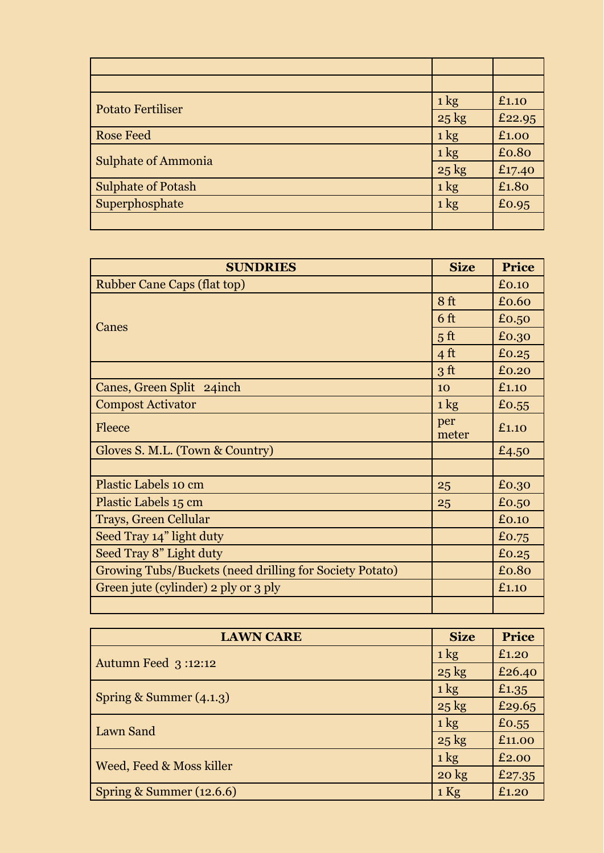| <b>Potato Fertiliser</b>   | $1 \text{ kg}$  | £1.10  |
|----------------------------|-----------------|--------|
|                            | $25 \text{ kg}$ | £22.95 |
| <b>Rose Feed</b>           | $1 \text{ kg}$  | £1.00  |
| <b>Sulphate of Ammonia</b> | $1 \text{ kg}$  | £0.80  |
|                            | $25 \text{ kg}$ | £17.40 |
| <b>Sulphate of Potash</b>  | $1 \text{ kg}$  | £1.80  |
| Superphosphate             | $1 \text{ kg}$  | £0.95  |
|                            |                 |        |

| <b>SUNDRIES</b>                                         | <b>Size</b>     | <b>Price</b> |
|---------------------------------------------------------|-----------------|--------------|
| <b>Rubber Cane Caps (flat top)</b>                      |                 | £0.10        |
| Canes                                                   | 8 <sub>ft</sub> | £0.60        |
|                                                         | 6 <sub>ft</sub> | £0.50        |
|                                                         | 5 <sup>ft</sup> | £0.30        |
|                                                         | $4 \text{ ft}$  | £0.25        |
|                                                         | 3 <sup>ft</sup> | £0.20        |
| Canes, Green Split 24inch                               | 10              | £1.10        |
| <b>Compost Activator</b>                                | $1 \text{ kg}$  | £0.55        |
| Fleece                                                  | per<br>meter    | £1.10        |
| Gloves S. M.L. (Town & Country)                         |                 | £4.50        |
|                                                         |                 |              |
| Plastic Labels 10 cm                                    | 25              | £0.30        |
| Plastic Labels 15 cm                                    | 25              | £0.50        |
| Trays, Green Cellular                                   |                 | £0.10        |
| Seed Tray 14" light duty                                |                 | £0.75        |
| Seed Tray 8" Light duty                                 |                 | £0.25        |
| Growing Tubs/Buckets (need drilling for Society Potato) |                 | £0.80        |
| Green jute (cylinder) 2 ply or 3 ply                    |                 | £1.10        |
|                                                         |                 |              |

| <b>LAWN CARE</b>           | <b>Size</b>     | <b>Price</b> |
|----------------------------|-----------------|--------------|
| <b>Autumn Feed 3:12:12</b> | $1 \text{ kg}$  | £1,20        |
|                            | $25 \text{ kg}$ | £26.40       |
| Spring & Summer $(4.1.3)$  | $1 \text{ kg}$  | £1.35        |
|                            | $25 \text{ kg}$ | £29.65       |
| Lawn Sand                  | $1 \text{ kg}$  | £0.55        |
|                            | $25 \text{ kg}$ | £11.00       |
| Weed, Feed & Moss killer   | $1 \text{ kg}$  | £2.00        |
|                            | $20 \text{ kg}$ | £27.35       |
| Spring & Summer (12.6.6)   | $1$ Kg          | £1,20        |